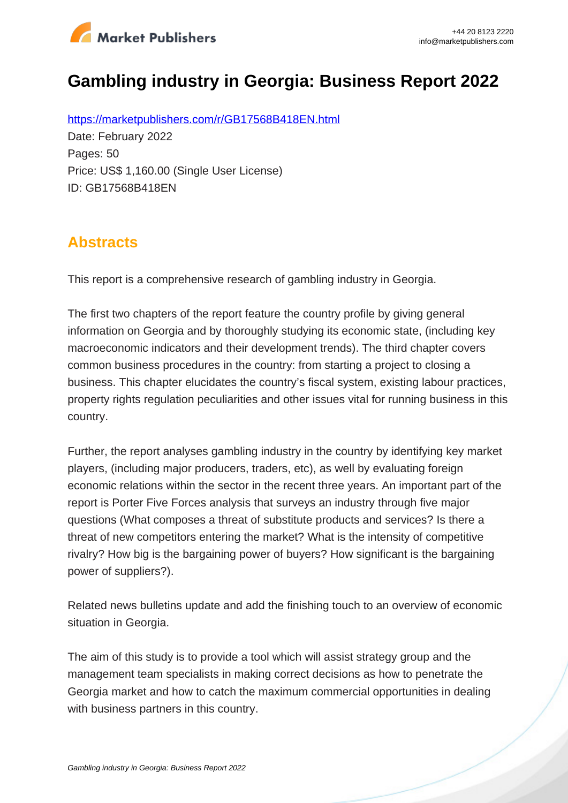

# **Gambling industry in Georgia: Business Report 2022**

https://marketpublishers.com/r/GB17568B418EN.html Date: February 2022 Pages: 50 Price: US\$ 1,160.00 (Single User License) ID: GB17568B418EN

## **Abstracts**

This report is a comprehensive research of gambling industry in Georgia.

The first two chapters of the report feature the country profile by giving general information on Georgia and by thoroughly studying its economic state, (including key macroeconomic indicators and their development trends). The third chapter covers common business procedures in the country: from starting a project to closing a business. This chapter elucidates the country's fiscal system, existing labour practices, property rights regulation peculiarities and other issues vital for running business in this country.

Further, the report analyses gambling industry in the country by identifying key market players, (including major producers, traders, etc), as well by evaluating foreign economic relations within the sector in the recent three years. An important part of the report is Porter Five Forces analysis that surveys an industry through five major questions (What composes a threat of substitute products and services? Is there a threat of new competitors entering the market? What is the intensity of competitive rivalry? How big is the bargaining power of buyers? How significant is the bargaining power of suppliers?).

Related news bulletins update and add the finishing touch to an overview of economic situation in Georgia.

The aim of this study is to provide a tool which will assist strategy group and the management team specialists in making correct decisions as how to penetrate the Georgia market and how to catch the maximum commercial opportunities in dealing with business partners in this country.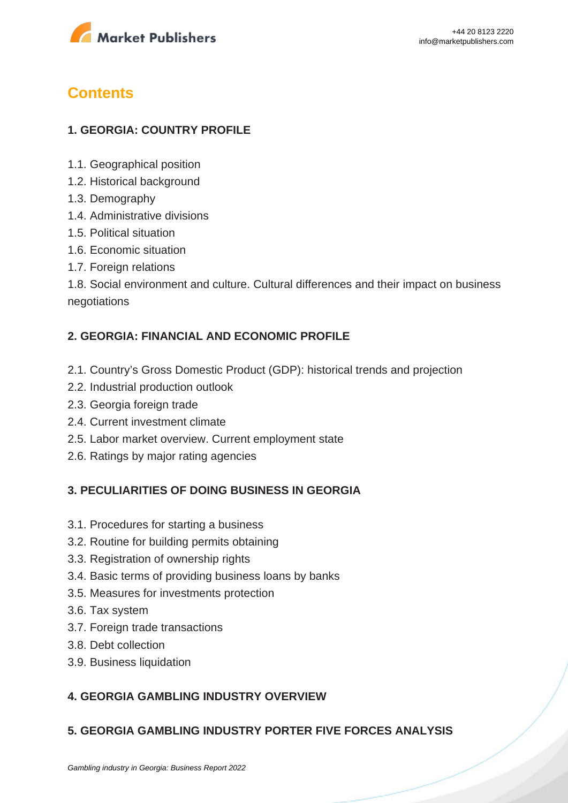

## **Contents**

### **1. GEORGIA: COUNTRY PROFILE**

- 1.1. Geographical position
- 1.2. Historical background
- 1.3. Demography
- 1.4. Administrative divisions
- 1.5. Political situation
- 1.6. Economic situation
- 1.7. Foreign relations

1.8. Social environment and culture. Cultural differences and their impact on business negotiations

### **2. GEORGIA: FINANCIAL AND ECONOMIC PROFILE**

- 2.1. Country's Gross Domestic Product (GDP): historical trends and projection
- 2.2. Industrial production outlook
- 2.3. Georgia foreign trade
- 2.4. Current investment climate
- 2.5. Labor market overview. Current employment state
- 2.6. Ratings by major rating agencies

#### **3. PECULIARITIES OF DOING BUSINESS IN GEORGIA**

- 3.1. Procedures for starting a business
- 3.2. Routine for building permits obtaining
- 3.3. Registration of ownership rights
- 3.4. Basic terms of providing business loans by banks
- 3.5. Measures for investments protection
- 3.6. Tax system
- 3.7. Foreign trade transactions
- 3.8. Debt collection
- 3.9. Business liquidation

#### **4. GEORGIA GAMBLING INDUSTRY OVERVIEW**

#### **5. GEORGIA GAMBLING INDUSTRY PORTER FIVE FORCES ANALYSIS**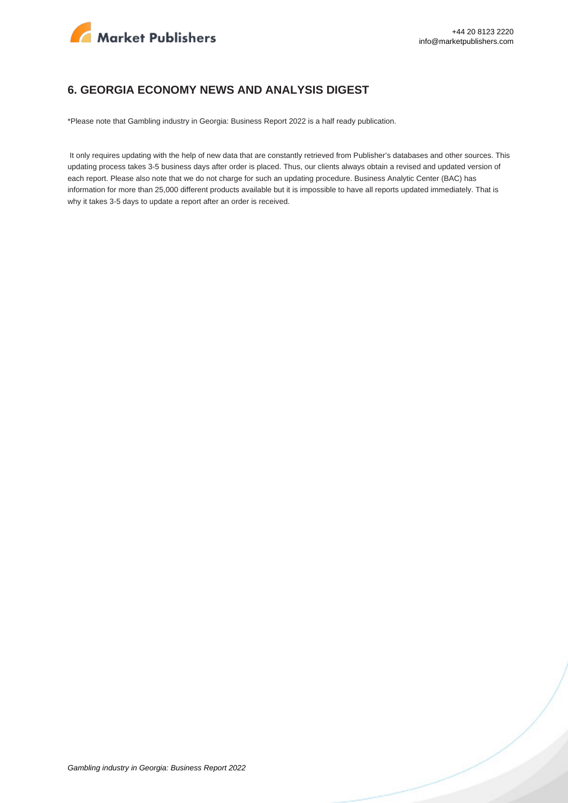

#### **6. GEORGIA ECONOMY NEWS AND ANALYSIS DIGEST**

\*Please note that Gambling industry in Georgia: Business Report 2022 is a half ready publication.

 It only requires updating with the help of new data that are constantly retrieved from Publisher's databases and other sources. This updating process takes 3-5 business days after order is placed. Thus, our clients always obtain a revised and updated version of each report. Please also note that we do not charge for such an updating procedure. Business Analytic Center (BAC) has information for more than 25,000 different products available but it is impossible to have all reports updated immediately. That is why it takes 3-5 days to update a report after an order is received.